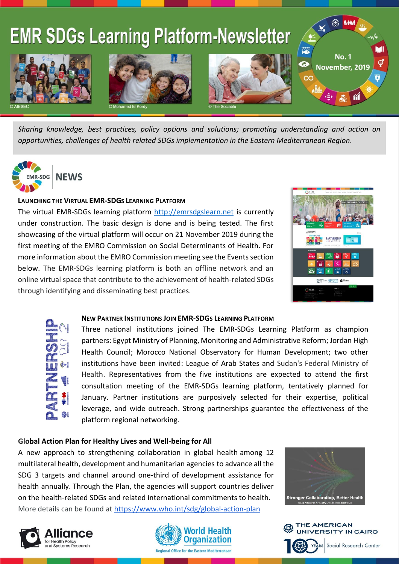

*Sharing knowledge, best practices, policy options and solutions; promoting understanding and action on opportunities, challenges of health related SDGs implementation in the Eastern Mediterranean Region.*



### **LAUNCHING THE VIRTUAL EMR-SDGS LEARNING PLATFORM**

The virtual EMR-SDGs learning platform [http://emrsdgslearn.net](http://emrsdgslearn.net/) is currently under construction. The basic design is done and is being tested. The first showcasing of the virtual platform will occur on 21 November 2019 during the first meeting of the EMRO Commission on Social Determinants of Health. For more information about the EMRO Commission meeting see the Events section below. The EMR-SDGs learning platform is both an offline network and an online virtual space that contribute to the achievement of health-related SDGs through identifying and disseminating best practices.



#### **NEW PARTNER INSTITUTIONS JOIN EMR-SDGS LEARNING PLATFORM**

Three national institutions joined The EMR-SDGs Learning Platform as champion partners: Egypt Ministry of Planning, Monitoring and Administrative Reform; Jordan High Health Council; Morocco National Observatory for Human Development; two other institutions have been invited: League of Arab States and Sudan's Federal Ministry of Health. Representatives from the five institutions are expected to attend the first consultation meeting of the EMR-SDGs learning platform, tentatively planned for January. Partner institutions are purposively selected for their expertise, political leverage, and wide outreach. Strong partnerships guarantee the effectiveness of the platform regional networking.

# **Global Action Plan for Healthy Lives and Well-being for All**

A new approach to strengthening collaboration in global health among 12 multilateral health, development and humanitarian agencies to advance all the SDG 3 targets and channel around one-third of development assistance for health annually. Through the Plan, the agencies will support countries deliver on the health-related SDGs and related international commitments to health. More details can be found at <https://www.who.int/sdg/global-action-plan>









Social Research Center